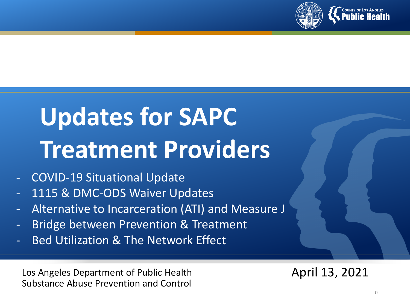

# **Updates for SAPC Treatment Providers**

- COVID-19 Situational Update
- 1115 & DMC-ODS Waiver Updates
- Alternative to Incarceration (ATI) and Measure J
- Bridge between Prevention & Treatment
- Bed Utilization & The Network Effect

Los Angeles Department of Public Health Substance Abuse Prevention and Control

April 13, 2021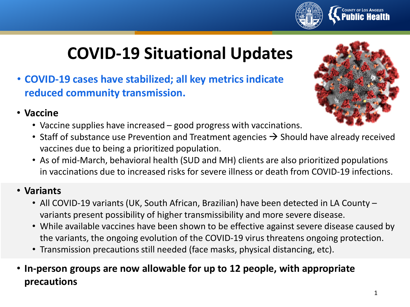

### **COVID-19 Situational Updates**

• **COVID-19 cases have stabilized; all key metrics indicate reduced community transmission.**

#### • **Vaccine**

- Vaccine supplies have increased good progress with vaccinations.
- Staff of substance use Prevention and Treatment agencies  $\rightarrow$  Should have already received vaccines due to being a prioritized population.
- As of mid-March, behavioral health (SUD and MH) clients are also prioritized populations in vaccinations due to increased risks for severe illness or death from COVID-19 infections.

#### • **Variants**

- All COVID-19 variants (UK, South African, Brazilian) have been detected in LA County variants present possibility of higher transmissibility and more severe disease.
- While available vaccines have been shown to be effective against severe disease caused by the variants, the ongoing evolution of the COVID-19 virus threatens ongoing protection.
- Transmission precautions still needed (face masks, physical distancing, etc).
- **In-person groups are now allowable for up to 12 people, with appropriate precautions**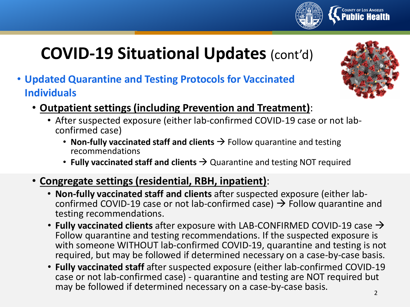## **COVID-19 Situational Updates** (cont'd)

- **Updated Quarantine and Testing Protocols for Vaccinated Individuals**
	- **Outpatient settings (including Prevention and Treatment)**:
		- After suspected exposure (either lab-confirmed COVID-19 case or not lab- confirmed case)
			- **Non-fully vaccinated staff and clients**  $\rightarrow$  Follow quarantine and testing recommendations
			- **Fully vaccinated staff and clients**  $\rightarrow$  Quarantine and testing NOT required
	- **Congregate settings (residential, RBH, inpatient)**:
		- **Non-fully vaccinated staff and clients** after suspected exposure (either lab-<br>confirmed COVID-19 case or not lab-confirmed case)  $\rightarrow$  Follow quarantine and testing recommendations.
		- **Fully vaccinated clients** after exposure with LAB-CONFIRMED COVID-19 case  $\rightarrow$ Follow quarantine and testing recommendations. If the suspected exposure is with someone WITHOUT lab-confirmed COVID-19, quarantine and testing is not required, but may be followed if determined necessary on a case-by-case basis.
		- **Fully vaccinated staff** after suspected exposure (either lab-confirmed COVID-19 case or not lab-confirmed case) - quarantine and testing are NOT required but may be followed if determined necessary on a case-by-case basis.







COUNTY OF LOS ANGELES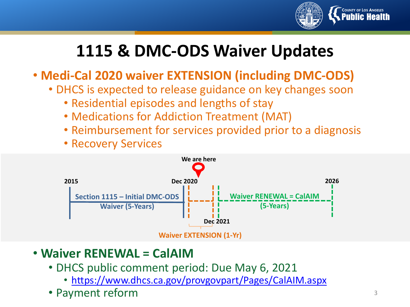

### **1115 & DMC-ODS Waiver Updates**

#### • **Medi-Cal 2020 waiver EXTENSION (including DMC-ODS)**

- DHCS is expected to release guidance on key changes soon
	- Residential episodes and lengths of stay
	- Medications for Addiction Treatment (MAT)
	- Reimbursement for services provided prior to a diagnosis
	- Recovery Services



#### • **Waiver RENEWAL = CalAIM**

- DHCS public comment period: Due May 6, 2021
	- <https://www.dhcs.ca.gov/provgovpart/Pages/CalAIM.aspx>
- Payment reform 3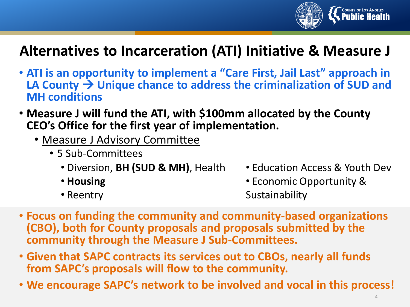

### **Alternatives to Incarceration (ATI) Initiative & Measure J**

- **ATI is an opportunity to implement a "Care First, Jail Last" approach in**  LA County  $\rightarrow$  Unique chance to address the criminalization of SUD and **MH conditions**
- **Measure J will fund the ATI, with \$100mm allocated by the County CEO's Office for the first year of implementation.**
	- Measure J Advisory Committee
		- 5 Sub-Committees
			- Diversion, **BH (SUD & MH)**, Health
			- **Housing**
			- Reentry
- Education Access & Youth Dev
- Economic Opportunity & Sustainability
- **Focus on funding the community and community-based organizations (CBO), both for County proposals and proposals submitted by the community through the Measure J Sub-Committees.**
- **Given that SAPC contracts its services out to CBOs, nearly all funds from SAPC's proposals will flow to the community.**
- **We encourage SAPC's network to be involved and vocal in this process!**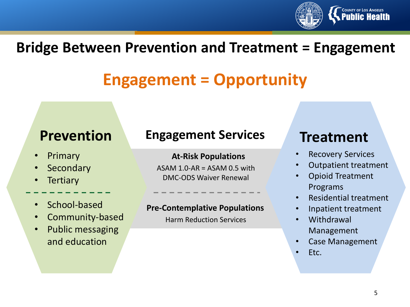

#### **Bridge Between Prevention and Treatment = Engagement**

## **Engagement = Opportunity**

- Primary
- **Secondary**
- **Tertiary**
- School-based
- Community-based
- Public messaging and education

### **Prevention Engagement Services**Treatment

#### **At-Risk Populations**

 $ASAM 1.0-AR = ASAM 0.5 with$ DMC-ODS Waiver Renewal

#### **Pre-Contemplative Populations**

Harm Reduction Services

- **Recovery Services**
- Outpatient treatment
- Opioid Treatment Programs
- Residential treatment
- Inpatient treatment
- Withdrawal Management
- Case Management
- Etc.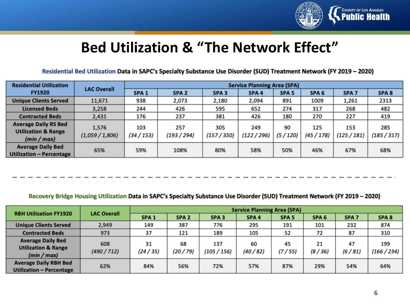

#### **Bed Utilization & "The Network Effect"**

Residential Bed Utilization Data in SAPC's Specialty Substance Use Disorder (SUD) Treatment Network (FY 2019 - 2020)

| <b>Residential Utilization</b><br><b>FY1920</b>                              | <b>LAC Overall</b>     | <b>Service Planning Area (SPA)</b> |                    |                  |                    |                  |                  |                  |                  |
|------------------------------------------------------------------------------|------------------------|------------------------------------|--------------------|------------------|--------------------|------------------|------------------|------------------|------------------|
|                                                                              |                        | SPA <sub>1</sub>                   | SPA <sub>2</sub>   | SPA <sub>3</sub> | SPA <sub>4</sub>   | SPA <sub>5</sub> | SPA <sub>6</sub> | SPA <sub>7</sub> | SPA <sub>8</sub> |
| <b>Unique Clients Served</b>                                                 | 11,671                 | 938                                | 2,073              | 2,180            | 2,094              | 891              | 1009             | 1,261            | 2313             |
| <b>Licensed Beds</b>                                                         | 3,258                  | 244                                | 426                | 595              | 652                | 274              | 317              | 268              | 482              |
| <b>Contracted Beds</b>                                                       | 2,431                  | 176                                | 237                | 381              | 426                | 180              | 270              | 227              | 419              |
| <b>Average Daily RS Bed</b><br><b>Utilization &amp; Range</b><br>(min / max) | 1,576<br>(1,059/1,806) | 103<br>(34 / 153)                  | 257<br>(193 / 294) | 305<br>(157/350) | 249<br>(122 / 296) | 90<br>(5 / 120)  | 125<br>(45/178)  | 153<br>(125/181) | 285<br>(185/317) |
| <b>Average Daily Bed</b><br><b>Utilization - Percentage</b>                  | 65%                    | 59%                                | 108%               | 80%              | 58%                | 50%              | 46%              | 67%              | 68%              |

#### Recovery Bridge Housing Utilization Data in SAPC's Specialty Substance Use Disorder (SUD) Treatment Network (FY 2019 - 2020)

| <b>RBH Utilization FY1920</b>                                             | <b>LAC Overall</b> | <b>Service Planning Area (SPA)</b> |                  |                    |                  |                  |                  |                  |                  |
|---------------------------------------------------------------------------|--------------------|------------------------------------|------------------|--------------------|------------------|------------------|------------------|------------------|------------------|
|                                                                           |                    | SPA <sub>1</sub>                   | SPA <sub>2</sub> | SPA <sub>3</sub>   | SPA <sub>4</sub> | SPA <sub>5</sub> | SPA <sub>6</sub> | SPA <sub>7</sub> | SPA <sub>8</sub> |
| <b>Unique Clients Served</b>                                              | 2,949              | 149                                | 387              | 776                | 295              | 191              | 101              | 232              | 874              |
| <b>Contracted Beds</b>                                                    | 973                | 37                                 | 121              | 189                | 105              | 52               | 72               | 87               | 310              |
| <b>Average Daily Bed</b><br><b>Utilization &amp; Range</b><br>(min / max) | 608<br>(490 / 712) | 31<br>(24/35)                      | 68<br>(20 / 79)  | 137<br>(105 / 156) | 60<br>(40/82)    | 45<br>(7 / 55)   | 21<br>(8/36)     | 47<br>(6/81)     | 199<br>(166/234) |
| <b>Average Daily RBH Bed</b><br><b>Utilization - Percentage</b>           | 62%                | 84%                                | 56%              | 72%                | 57%              | 87%              | 29%              | 54%              | 64%              |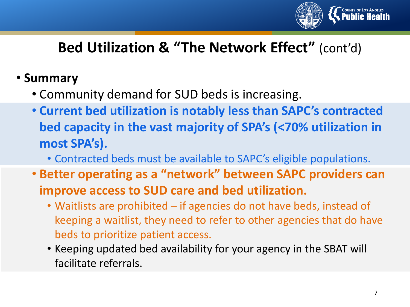

### **Bed Utilization & "The Network Effect"** (cont'd)

- **Summary**
	- Community demand for SUD beds is increasing.
	- **Current bed utilization is notably less than SAPC's contracted bed capacity in the vast majority of SPA's (<70% utilization in most SPA's).**
		- Contracted beds must be available to SAPC's eligible populations.
	- **Better operating as a "network" between SAPC providers can improve access to SUD care and bed utilization.**
		- Waitlists are prohibited if agencies do not have beds, instead of keeping a waitlist, they need to refer to other agencies that do have beds to prioritize patient access.
		- Keeping updated bed availability for your agency in the SBAT will facilitate referrals.